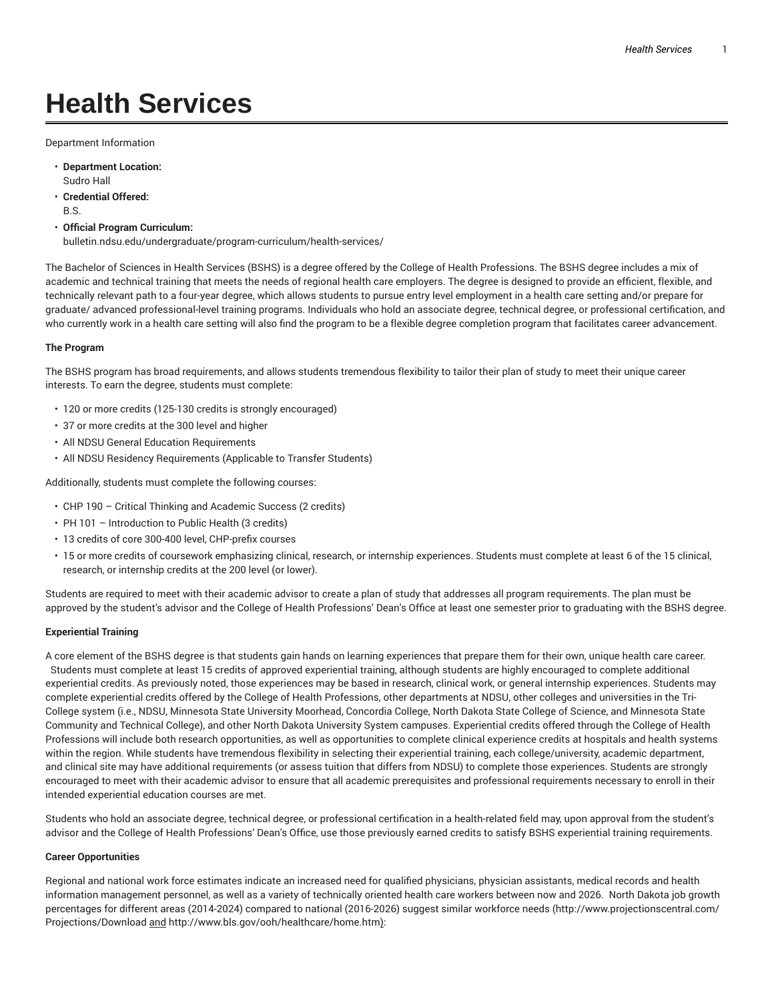# **Health Services**

Department Information

- **Department Location:** Sudro Hall
- **Credential Offered:** B.S.
- **Official Program Curriculum:** bulletin.ndsu.edu/undergraduate/program-curriculum/health-services/

The Bachelor of Sciences in Health Services (BSHS) is a degree offered by the College of Health Professions. The BSHS degree includes a mix of academic and technical training that meets the needs of regional health care employers. The degree is designed to provide an efficient, flexible, and technically relevant path to a four-year degree, which allows students to pursue entry level employment in a health care setting and/or prepare for graduate/ advanced professional-level training programs. Individuals who hold an associate degree, technical degree, or professional certification, and who currently work in a health care setting will also find the program to be a flexible degree completion program that facilitates career advancement.

## **The Program**

The BSHS program has broad requirements, and allows students tremendous flexibility to tailor their plan of study to meet their unique career interests. To earn the degree, students must complete:

- 120 or more credits (125-130 credits is strongly encouraged)
- 37 or more credits at the 300 level and higher
- All NDSU General Education Requirements
- All NDSU Residency Requirements (Applicable to Transfer Students)

Additionally, students must complete the following courses:

- CHP 190 Critical Thinking and Academic Success (2 credits)
- PH 101 Introduction to Public Health (3 credits)
- 13 credits of core 300-400 level, CHP-prefix courses
- 15 or more credits of coursework emphasizing clinical, research, or internship experiences. Students must complete at least 6 of the 15 clinical, research, or internship credits at the 200 level (or lower).

Students are required to meet with their academic advisor to create a plan of study that addresses all program requirements. The plan must be approved by the student's advisor and the College of Health Professions' Dean's Office at least one semester prior to graduating with the BSHS degree.

## **Experiential Training**

A core element of the BSHS degree is that students gain hands on learning experiences that prepare them for their own, unique health care career. Students must complete at least 15 credits of approved experiential training, although students are highly encouraged to complete additional experiential credits. As previously noted, those experiences may be based in research, clinical work, or general internship experiences. Students may complete experiential credits offered by the College of Health Professions, other departments at NDSU, other colleges and universities in the Tri-College system (i.e., NDSU, Minnesota State University Moorhead, Concordia College, North Dakota State College of Science, and Minnesota State Community and Technical College), and other North Dakota University System campuses. Experiential credits offered through the College of Health Professions will include both research opportunities, as well as opportunities to complete clinical experience credits at hospitals and health systems within the region. While students have tremendous flexibility in selecting their experiential training, each college/university, academic department, and clinical site may have additional requirements (or assess tuition that differs from NDSU) to complete those experiences. Students are strongly encouraged to meet with their academic advisor to ensure that all academic prerequisites and professional requirements necessary to enroll in their intended experiential education courses are met.

Students who hold an associate degree, technical degree, or professional certification in a health-related field may, upon approval from the student's advisor and the College of Health Professions' Dean's Office, use those previously earned credits to satisfy BSHS experiential training requirements.

### **Career Opportunities**

Regional and national work force estimates indicate an increased need for qualified physicians, physician assistants, medical records and health information management personnel, as well as a variety of technically oriented health care workers between now and 2026. North Dakota job growth percentages for different areas (2014-2024) compared to national (2016-2026) suggest similar workforce needs (http://www.projectionscentral.com/ Projections/Download and http://www.bls.gov/ooh/healthcare/home.htm):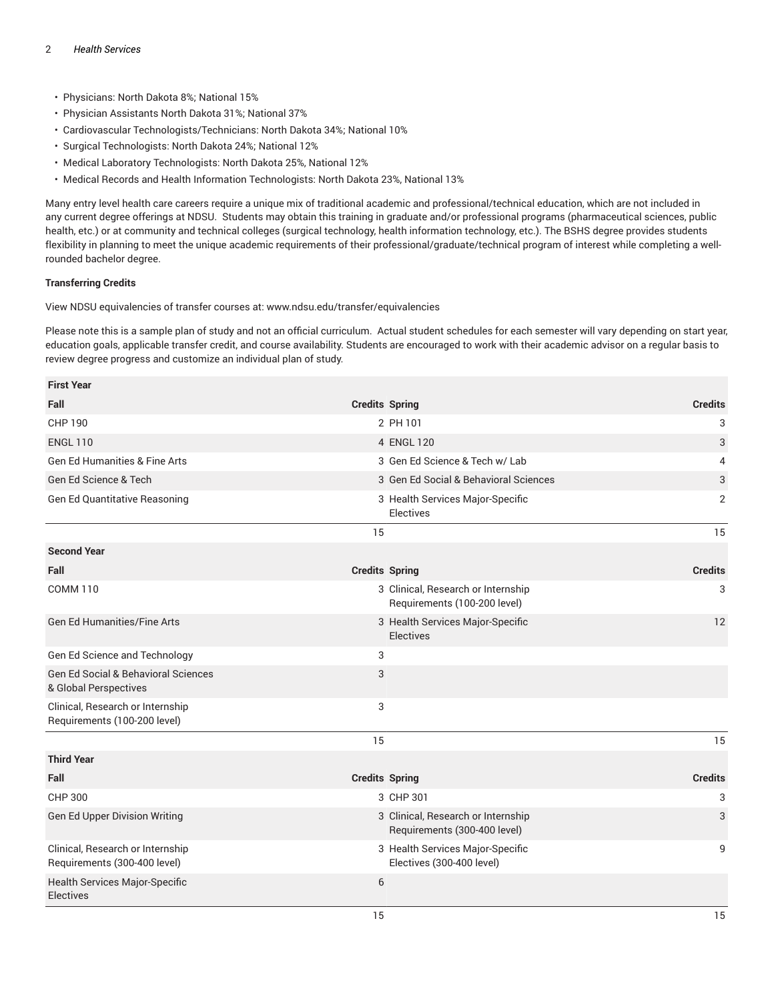- Physicians: North Dakota 8%; National 15%
- Physician Assistants North Dakota 31%; National 37%
- Cardiovascular Technologists/Technicians: North Dakota 34%; National 10%
- Surgical Technologists: North Dakota 24%; National 12%
- Medical Laboratory Technologists: North Dakota 25%, National 12%
- Medical Records and Health Information Technologists: North Dakota 23%, National 13%

Many entry level health care careers require a unique mix of traditional academic and professional/technical education, which are not included in any current degree offerings at NDSU. Students may obtain this training in graduate and/or professional programs (pharmaceutical sciences, public health, etc.) or at community and technical colleges (surgical technology, health information technology, etc.). The BSHS degree provides students flexibility in planning to meet the unique academic requirements of their professional/graduate/technical program of interest while completing a wellrounded bachelor degree.

## **Transferring Credits**

View NDSU equivalencies of transfer courses at: www.ndsu.edu/transfer/equivalencies

Please note this is a sample plan of study and not an official curriculum. Actual student schedules for each semester will vary depending on start year, education goals, applicable transfer credit, and course availability. Students are encouraged to work with their academic advisor on a regular basis to review degree progress and customize an individual plan of study.

| <b>First Year</b>                                                            |                                                                         |
|------------------------------------------------------------------------------|-------------------------------------------------------------------------|
| Fall<br><b>Credits Spring</b>                                                | <b>Credits</b>                                                          |
| <b>CHP 190</b>                                                               | 3<br>2 PH 101                                                           |
| <b>ENGL 110</b>                                                              | 4 ENGL 120<br>3                                                         |
| <b>Gen Ed Humanities &amp; Fine Arts</b>                                     | 3 Gen Ed Science & Tech w/ Lab<br>4                                     |
| Gen Ed Science & Tech                                                        | 3 Gen Ed Social & Behavioral Sciences<br>3                              |
| Gen Ed Quantitative Reasoning                                                | $\overline{2}$<br>3 Health Services Major-Specific<br>Electives         |
| 15                                                                           | 15                                                                      |
| <b>Second Year</b>                                                           |                                                                         |
| Fall<br><b>Credits Spring</b>                                                | <b>Credits</b>                                                          |
| <b>COMM 110</b>                                                              | 3 Clinical, Research or Internship<br>3<br>Requirements (100-200 level) |
| <b>Gen Ed Humanities/Fine Arts</b>                                           | 3 Health Services Major-Specific<br>12<br>Electives                     |
| 3<br>Gen Ed Science and Technology                                           |                                                                         |
| <b>Gen Ed Social &amp; Behavioral Sciences</b><br>3<br>& Global Perspectives |                                                                         |
| Clinical, Research or Internship<br>3<br>Requirements (100-200 level)        |                                                                         |
| 15                                                                           | 15                                                                      |
| <b>Third Year</b>                                                            |                                                                         |
| Fall<br><b>Credits Spring</b>                                                | <b>Credits</b>                                                          |
| CHP 300                                                                      | 3 CHP 301<br>3                                                          |
| Gen Ed Upper Division Writing                                                | 3 Clinical, Research or Internship<br>3<br>Requirements (300-400 level) |
| Clinical, Research or Internship<br>Requirements (300-400 level)             | 3 Health Services Major-Specific<br>9<br>Electives (300-400 level)      |
| Health Services Major-Specific<br>6<br><b>Electives</b>                      |                                                                         |